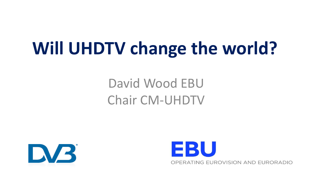# **Will UHDTV change the world?**

## David Wood EBU Chair CM-UHDTV



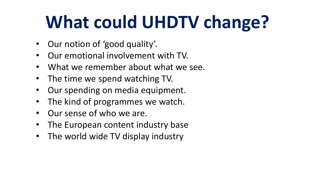# **What could UHDTV change?**

- Our notion of 'good quality'.
- Our emotional involvement with TV.
- What we remember about what we see.
- The time we spend watching TV.
- Our spending on media equipment.
- The kind of programmes we watch.
- Our sense of who we are.
- The European content industry base
- The world wide TV display industry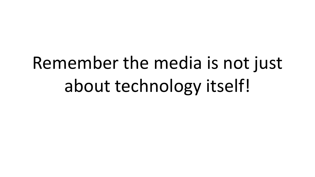# Remember the media is not just about technology itself!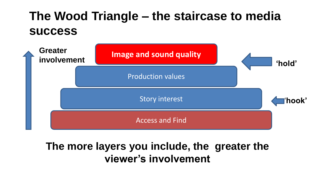## **The Wood Triangle – the staircase to media success**



### **The more layers you include, the greater the viewer's involvement**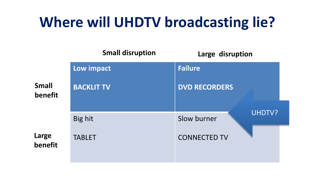## **Where will UHDTV broadcasting lie?**

|                         | <b>Small disruption</b> | Large disruption             |  |  |  |
|-------------------------|-------------------------|------------------------------|--|--|--|
|                         | Low impact              | <b>Failure</b>               |  |  |  |
| <b>Small</b><br>benefit | <b>BACKLIT TV</b>       | <b>DVD RECORDERS</b>         |  |  |  |
|                         | Big hit                 | <b>UHDTV?</b><br>Slow burner |  |  |  |
| Large<br>benefit        | <b>TABLET</b>           | <b>CONNECTED TV</b>          |  |  |  |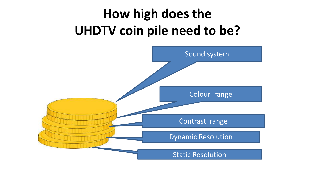## **How high does the UHDTV coin pile need to be?**

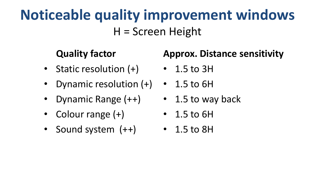## **Noticeable quality improvement windows** H = Screen Height

### **Quality factor**

- Static resolution (+)
- Dynamic resolution (+) 1.5 to 6H
- Dynamic Range (++)
- Colour range  $(+)$
- Sound system (++)

### **Approx. Distance sensitivity**

- 1.5 to 3H
- 
- 1.5 to way back
- $\cdot$  1.5 to 6H
- 1.5 to 8H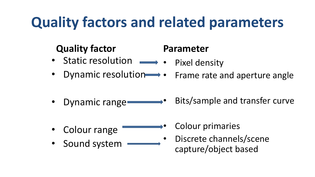## **Quality factors and related parameters**

### **Quality factor**

#### • Static resolution Pixel density

• Dynamic resolution • Frame rate and aperture angle

**Parameter**

- Dynamic range-• Bits/sample and transfer curve
- Colour range
- Sound system
- Colour primaries
- Discrete channels/scene capture/object based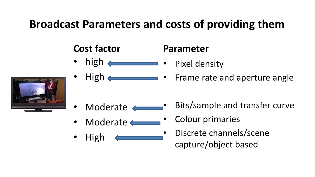### **Broadcast Parameters and costs of providing them**

### **Cost factor**

- high  $\leftarrow$ • Pixel density
	- $High \longleftarrow$ • Frame rate and aperture angle

- Moderate
- Moderate <
- High
- Bits/sample and transfer curve
- Colour primaries

**Parameter**

• Discrete channels/scene capture/object based

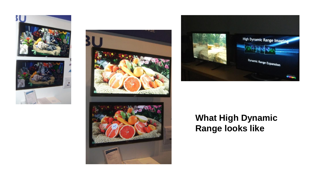







### **What High Dynamic Range looks like**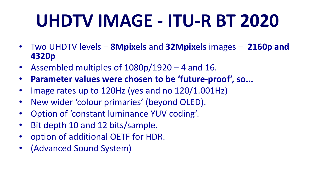# **UHDTV IMAGE - ITU-R BT 2020**

- Two UHDTV levels **8Mpixels** and **32Mpixels** images **2160p and 4320p**
- Assembled multiples of 1080p/1920 4 and 16.
- **Parameter values were chosen to be 'future-proof', so...**
- Image rates up to 120Hz (yes and no 120/1.001Hz)
- New wider 'colour primaries' (beyond OLED).
- Option of 'constant luminance YUV coding'.
- Bit depth 10 and 12 bits/sample.
- option of additional OETF for HDR.
- (Advanced Sound System)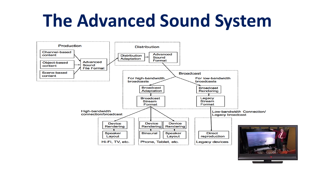# **The Advanced Sound System**

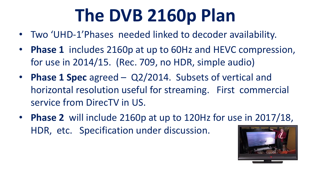# **The DVB 2160p Plan**

- Two 'UHD-1'Phases needed linked to decoder availability.
- **Phase 1** includes 2160p at up to 60Hz and HEVC compression, for use in 2014/15. (Rec. 709, no HDR, simple audio)
- **Phase 1 Spec** agreed Q2/2014. Subsets of vertical and horizontal resolution useful for streaming. First commercial service from DirecTV in US.
- **Phase 2** will include 2160p at up to 120Hz for use in 2017/18, HDR, etc. Specification under discussion.

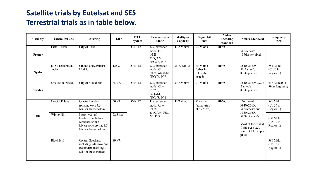#### **Satellite trials by Eutelsat and SES Terrestrial trials as in table below**.

| Country | <b>Transmitter site</b>    | Covering                                                                                                | <b>ERP</b>      | <b>DTT</b><br>System | Transmission<br>Mode                                                 | <b>Multiplex</b><br>Capacity | Signal bit<br>rate                                | <b>Video</b><br>Encoding<br><b>Standard</b> | <b>Picture Standard</b>                                                                     | Frequency<br>used                  |
|---------|----------------------------|---------------------------------------------------------------------------------------------------------|-----------------|----------------------|----------------------------------------------------------------------|------------------------------|---------------------------------------------------|---------------------------------------------|---------------------------------------------------------------------------------------------|------------------------------------|
| France  | <b>Eiffel Tower</b>        | City of Paris                                                                                           |                 | DVB-T <sub>2</sub>   | 32k, extended<br>mode, $GI =$<br>$1/128$ ,<br>256QAM,<br>FEC2/3, PP7 | $40.2$ Mbit/s                | 24 Mbit/s                                         | <b>HEVC</b>                                 | 50 frames/s<br>10 bits per pixel                                                            |                                    |
| Spain   | ETSI Telecomuni-<br>cación | Ciudad Universitaria,<br>Madrid                                                                         | 125W            | DVB-T2               | 32k, extended<br>mode, $GI =$<br>1/128, 64QAM,<br>FEC5/6, PP7        | 36.72 Mbit/s                 | 35 Mbit/s<br>(other bit)<br>rates also<br>tested) | <b>HEVC</b>                                 | 3840x2160p<br>50 frames/s<br>8 bits per pixel                                               | 754 MHz<br>$(Ch56$ in<br>Region 1) |
| Sweden  | Stockholm Nacka            | City of Stockholm                                                                                       | $35 \text{ kW}$ | DVB-T2               | 32k, extended<br>mode, $GI =$<br>19/256,<br>64QAM,<br>FEC3/5, PP4    | $31.7$ Mbit/s                | 24 Mbit/s                                         | <b>HEVC</b>                                 | 3840x2160p 29.97<br>frames/s<br>8 bits per pixel                                            | 618 MHz (Ch<br>39 in Region 1)     |
|         | <b>Crystal Palace</b>      | Greater London<br>(serving over 4.5)<br>Million households)                                             | 40 kW           | DVB-T <sub>2</sub>   | 32k, extended<br>mode, $GI =$<br>$1/128$ .<br>2560AM, FEC            | $40.2$ Mb/s                  | Variable<br>(some trials)<br>at $35$ Mb/s)        | <b>HEVC</b>                                 | Mixture of<br>3840x2160p<br>50 frames/s and<br>3840x2160p                                   | 586 MHz<br>(Ch 35 in<br>Region 1)  |
| UK      | Winter Hill                | North-west of<br>England, including<br>Manchester and<br>Liverpool (serving 2.7)<br>Million households) | 22.5 kW         |                      | $2/3$ , PP7                                                          |                              |                                                   |                                             | 59.94 frames/s<br>Most of the trial at<br>8 bits per pixel,<br>some at 10 bits per<br>pixel | 602 MHz<br>(Ch 37 in<br>Region 1)  |
|         | <b>Black Hill</b>          | Central Scotland.<br>including Glasgow and<br>Edinburgh (serving 1<br>Million households)               | 39kW            |                      |                                                                      |                              |                                                   |                                             |                                                                                             | 586 MHz<br>(Ch 35 in<br>Region 1)  |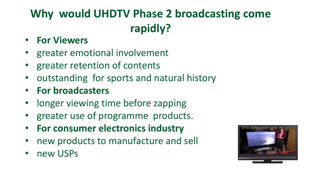## **Why would UHDTV Phase 2 broadcasting come rapidly?**

- **For Viewers**
- greater emotional involvement
- greater retention of contents
- outstanding for sports and natural history
- **For broadcasters**
- longer viewing time before zapping
- greater use of programme products.
- **For consumer electronics industry**
- new products to manufacture and sell
- new USPs

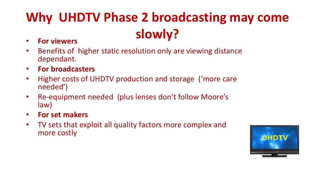## **Why UHDTV Phase 2 broadcasting may come slowly?**

- **For viewers**
- Benefits of higher static resolution only are viewing distance dependant.
- **For broadcasters**
- Higher costs of UHDTV production and storage ('more care needed')
- Re-equipment needed (plus lenses don't follow Moore's law)
- **For set makers**
- TV sets that exploit all quality factors more complex and more costly

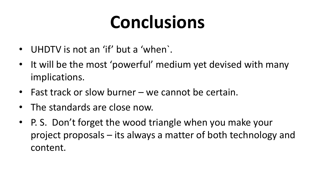# **Conclusions**

- UHDTV is not an 'if' but a 'when`.
- It will be the most 'powerful' medium yet devised with many implications.
- Fast track or slow burner we cannot be certain.
- The standards are close now.
- P. S. Don't forget the wood triangle when you make your project proposals – its always a matter of both technology and content.